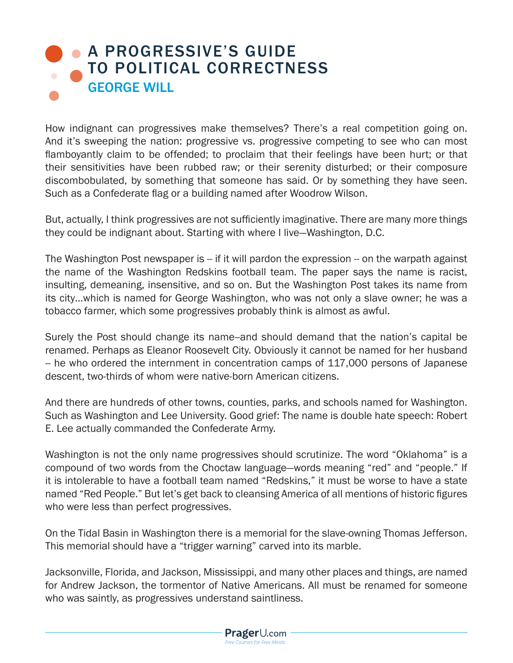## **A PROGRESSIVE'S GUIDE** [TO POLITICAL CORRECTNESS](https://www.prageru.com/courses/political-science/progressives-guide-political-correctness) GEORGE WILL

How indignant can progressives make themselves? There's a real competition going on. And it's sweeping the nation: progressive vs. progressive competing to see who can most flamboyantly claim to be offended; to proclaim that their feelings have been hurt; or that their sensitivities have been rubbed raw; or their serenity disturbed; or their composure discombobulated, by something that someone has said. Or by something they have seen. Such as a Confederate flag or a building named after Woodrow Wilson.

But, actually, I think progressives are not sufficiently imaginative. There are many more things they could be indignant about. Starting with where I live—Washington, D.C.

The Washington Post newspaper is -- if it will pardon the expression -- on the warpath against the name of the Washington Redskins football team. The paper says the name is racist, insulting, demeaning, insensitive, and so on. But the Washington Post takes its name from its city…which is named for George Washington, who was not only a slave owner; he was a tobacco farmer, which some progressives probably think is almost as awful.

Surely the Post should change its name--and should demand that the nation's capital be renamed. Perhaps as Eleanor Roosevelt City. Obviously it cannot be named for her husband -- he who ordered the internment in concentration camps of 117,000 persons of Japanese descent, two-thirds of whom were native-born American citizens.

And there are hundreds of other towns, counties, parks, and schools named for Washington. Such as Washington and Lee University. Good grief: The name is double hate speech: Robert E. Lee actually commanded the Confederate Army.

Washington is not the only name progressives should scrutinize. The word "Oklahoma" is a compound of two words from the Choctaw language—words meaning "red" and "people." If it is intolerable to have a football team named "Redskins," it must be worse to have a state named "Red People." But let's get back to cleansing America of all mentions of historic figures who were less than perfect progressives.

On the Tidal Basin in Washington there is a memorial for the slave-owning Thomas Jefferson. This memorial should have a "trigger warning" carved into its marble.

Jacksonville, Florida, and Jackson, Mississippi, and many other places and things, are named for Andrew Jackson, the tormentor of Native Americans. All must be renamed for someone who was saintly, as progressives understand saintliness.